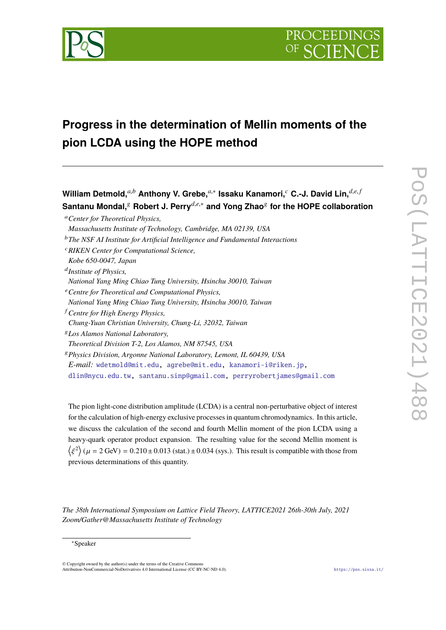

# **Progress in the determination of Mellin moments of the pion LCDA using the HOPE method**

 $\bm{W}$ illiam Detmold, ${}^{a,b}$  Anthony V. Grebe, ${}^{a,*}$  Issaku Kanamori, ${}^{c}$  C.-J. David Lin, ${}^{d,e,f}$ **Santanu Mondal,**<sup>g</sup> **Robert J. Perry***d*,*e*,<sup>∗</sup> **and Yong Zhao**<sup>g</sup> **for the HOPE collaboration** <sup>a</sup>*Center for Theoretical Physics, Massachusetts Institute of Technology, Cambridge, MA 02139, USA* <sup>b</sup>*The NSF AI Institute for Artificial Intelligence and Fundamental Interactions* <sup>c</sup>*RIKEN Center for Computational Science, Kobe 650-0047, Japan* d *Institute of Physics, National Yang Ming Chiao Tung University, Hsinchu 30010, Taiwan* <sup>e</sup>*Centre for Theoretical and Computational Physics, National Yang Ming Chiao Tung University, Hsinchu 30010, Taiwan* <sup>f</sup> *Centre for High Energy Physics, Chung-Yuan Christian University, Chung-Li, 32032, Taiwan* <sup>g</sup>*Los Alamos National Laboratory, Theoretical Division T-2, Los Alamos, NM 87545, USA* <sup>g</sup>*Physics Division, Argonne National Laboratory, Lemont, IL 60439, USA E-mail:* [wdetmold@mit.edu,](mailto:wdetmold@mit.edu) [agrebe@mit.edu,](mailto:agrebe@mit.edu) [kanamori-i@riken.jp,](mailto:kanamori-i@riken.jp) [dlin@nycu.edu.tw,](mailto:dlin@nycu.edu.tw) [santanu.sinp@gmail.com,](mailto:santanu.sinp@gmail.com) [perryrobertjames@gmail.com](mailto:perryrobertjames@gmail.com)

The pion light-cone distribution amplitude (LCDA) is a central non-perturbative object of interest for the calculation of high-energy exclusive processes in quantum chromodynamics. In this article, we discuss the calculation of the second and fourth Mellin moment of the pion LCDA using a heavy-quark operator product expansion. The resulting value for the second Mellin moment is  $\langle \xi^2 \rangle$  ( $\mu = 2$  GeV) = 0.210 ± 0.013 (stat.) ± 0.034 (sys.). This result is compatible with those from  $\sum_{n=1}^{\infty}$   $\sum_{n=1}^{\infty}$  previous determinations of this quantity.

*The 38th International Symposium on Lattice Field Theory, LATTICE2021 26th-30th July, 2021 Zoom/Gather@Massachusetts Institute of Technology*

<sup>∗</sup>Speaker

<sup>©</sup> Copyright owned by the author(s) under the terms of the Creative Commons Attribution-NonCommercial-NoDerivatives 4.0 International License (CC BY-NC-ND 4.0). <https://pos.sissa.it/>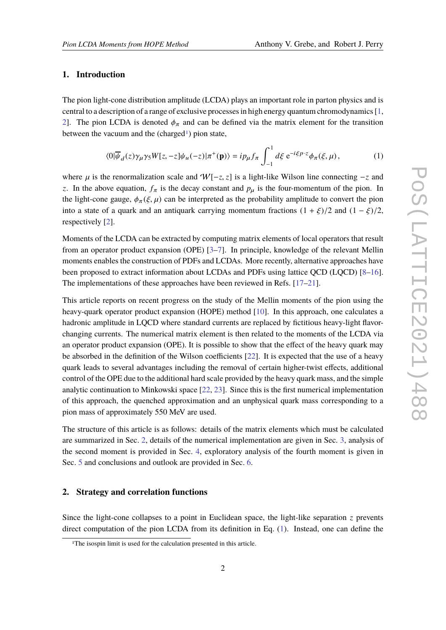## **1. Introduction**

The pion light-cone distribution amplitude (LCDA) plays an important role in parton physics and is central to a description of a range of exclusive processes in high energy quantum chromodynamics [\[1,](#page-14-0) [2\]](#page-14-1). The pion LCDA is denoted  $\phi_{\pi}$  and can be defined via the matrix element for the transition between the vacuum and the (charged<sup>[1](#page-1-0)</sup>) pion state,

<span id="page-1-2"></span>
$$
\langle 0|\overline{\psi}_d(z)\gamma_\mu\gamma_5 W[z,-z]\psi_u(-z)|\pi^+(\mathbf{p})\rangle = i p_\mu f_\pi \int_{-1}^1 d\xi \,\mathrm{e}^{-i\xi p \cdot z} \phi_\pi(\xi,\mu),\tag{1}
$$

where  $\mu$  is the renormalization scale and  $W[-z, z]$  is a light-like Wilson line connecting  $-z$  and *z*. In the above equation,  $f_{\pi}$  is the decay constant and  $p_{\mu}$  is the four-momentum of the pion. In the light-cone gauge,  $\phi_{\pi}(\xi, \mu)$  can be interpreted as the probability amplitude to convert the pion into a state of a quark and an antiquark carrying momentum fractions  $(1 + \xi)/2$  and  $(1 - \xi)/2$ , respectively [\[2\]](#page-14-1).

Moments of the LCDA can be extracted by computing matrix elements of local operators that result from an operator product expansion (OPE) [\[3–](#page-14-2)[7\]](#page-14-3). In principle, knowledge of the relevant Mellin moments enables the construction of PDFs and LCDAs. More recently, alternative approaches have been proposed to extract information about LCDAs and PDFs using lattice QCD (LQCD) [\[8–](#page-14-4)[16\]](#page-15-0). The implementations of these approaches have been reviewed in Refs. [\[17–](#page-15-1)[21\]](#page-15-2).

This article reports on recent progress on the study of the Mellin moments of the pion using the heavy-quark operator product expansion (HOPE) method [\[10\]](#page-14-5). In this approach, one calculates a hadronic amplitude in LQCD where standard currents are replaced by fictitious heavy-light flavorchanging currents. The numerical matrix element is then related to the moments of the LCDA via an operator product expansion (OPE). It is possible to show that the effect of the heavy quark may be absorbed in the definition of the Wilson coefficients [\[22\]](#page-15-3). It is expected that the use of a heavy quark leads to several advantages including the removal of certain higher-twist effects, additional control of the OPE due to the additional hard scale provided by the heavy quark mass, and the simple analytic continuation to Minkowski space [\[22,](#page-15-3) [23\]](#page-15-4). Since this is the first numerical implementation of this approach, the quenched approximation and an unphysical quark mass corresponding to a pion mass of approximately 550 MeV are used.

The structure of this article is as follows: details of the matrix elements which must be calculated are summarized in Sec. [2,](#page-1-1) details of the numerical implementation are given in Sec. [3,](#page-3-0) analysis of the second moment is provided in Sec. [4,](#page-6-0) exploratory analysis of the fourth moment is given in Sec. [5](#page-9-0) and conclusions and outlook are provided in Sec. [6.](#page-12-0)

## <span id="page-1-1"></span>**2. Strategy and correlation functions**

Since the light-cone collapses to a point in Euclidean space, the light-like separation *z* prevents direct computation of the pion LCDA from its definition in Eq. [\(1\)](#page-1-2). Instead, one can define the

<span id="page-1-0"></span><sup>&</sup>lt;sup>1</sup>The isospin limit is used for the calculation presented in this article.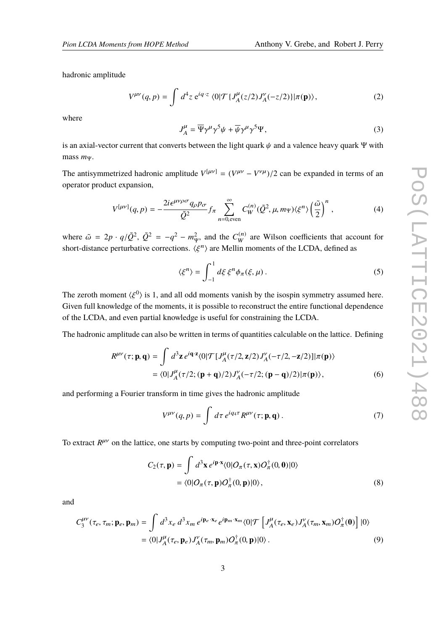hadronic amplitude

$$
V^{\mu\nu}(q,p) = \int d^4 z \; e^{iq \cdot z} \; \langle 0| \mathcal{T} \{ J_A^{\mu}(z/2) J_A^{\nu}(-z/2) \} | \pi(\mathbf{p}) \rangle, \tag{2}
$$

where

$$
J_A^{\mu} = \overline{\Psi} \gamma^{\mu} \gamma^5 \psi + \overline{\psi} \gamma^{\mu} \gamma^5 \Psi,
$$
 (3)

is an axial-vector current that converts between the light quark  $\psi$  and a valence heavy quark Ψ with mass *m*Ψ.

The antisymmetrized hadronic amplitude  $V^{[\mu\nu]} = (V^{\mu\nu} - V^{\nu\mu})/2$  can be expanded in terms of an anomator readulation consistent operator product expansion,

<span id="page-2-0"></span>
$$
V^{[\mu\nu]}(q,p) = -\frac{2i\epsilon^{\mu\nu\rho\sigma}q_{\rho}p_{\sigma}}{\tilde{Q}^2}f_{\pi}\sum_{n=0,\text{even}}^{\infty}C_W^{(n)}(\tilde{Q}^2,\mu,m_\Psi)\langle\xi^n\rangle\left(\frac{\tilde{\omega}}{2}\right)^n,\tag{4}
$$

where  $\tilde{\omega} = 2p \cdot q/\tilde{Q}^2$ ,  $\tilde{Q}^2 = -q^2 - m_q^2$ <br>short distance perturbative corrections  $L_{\Psi}^2$ , and the  $C_W^{(n)}$  are Wilson coefficients that account for short-distance perturbative corrections.  $\langle \xi^n \rangle$  are Mellin moments of the LCDA, defined as

$$
\langle \xi^n \rangle = \int_{-1}^1 d\xi \, \xi^n \phi_\pi(\xi, \mu) \,. \tag{5}
$$

The zeroth moment  $\langle \xi^0 \rangle$  is 1, and all odd moments vanish by the isospin symmetry assumed here.<br>Civen full inevided as of the moments, it is negatively to reconstruct the entire functional dependence Given full knowledge of the moments, it is possible to reconstruct the entire functional dependence of the LCDA, and even partial knowledge is useful for constraining the LCDA.

The hadronic amplitude can also be written in terms of quantities calculable on the lattice. Defining

$$
R^{\mu\nu}(\tau; \mathbf{p}, \mathbf{q}) = \int d^3 \mathbf{z} e^{i\mathbf{q} \cdot \mathbf{z}} \langle 0 | \mathcal{T} [J_A^{\mu}(\tau/2, \mathbf{z}/2) J_A^{\nu}(-\tau/2, -\mathbf{z}/2)] | \pi(\mathbf{p}) \rangle
$$
  
=  $\langle 0 | J_A^{\mu}(\tau/2; (\mathbf{p} + \mathbf{q})/2) J_A^{\nu}(-\tau/2; (\mathbf{p} - \mathbf{q})/2) | \pi(\mathbf{p}) \rangle,$  (6)

and performing a Fourier transform in time gives the hadronic amplitude

<span id="page-2-1"></span>
$$
V^{\mu\nu}(q,p) = \int d\tau \, e^{iq_4\tau} R^{\mu\nu}(\tau; \mathbf{p}, \mathbf{q}) \,. \tag{7}
$$

To extract  $R^{\mu\nu}$  on the lattice, one starts by computing two-point and three-point correlators

$$
C_2(\tau, \mathbf{p}) = \int d^3 \mathbf{x} e^{i \mathbf{p} \cdot \mathbf{x}} \langle 0 | O_\pi(\tau, \mathbf{x}) O_\pi^\dagger(0, 0) | 0 \rangle
$$
  
=  $\langle 0 | O_\pi(\tau, \mathbf{p}) O_\pi^\dagger(0, \mathbf{p}) | 0 \rangle$ , (8)

and

$$
C_3^{\mu\nu}(\tau_e, \tau_m; \mathbf{p}_e, \mathbf{p}_m) = \int d^3x_e d^3x_m e^{i\mathbf{p}_e \cdot \mathbf{x}_e} e^{i\mathbf{p}_m \cdot \mathbf{x}_m} \langle 0 | \mathcal{T} \left[ J_A^{\mu}(\tau_e, \mathbf{x}_e) J_A^{\nu}(\tau_m, \mathbf{x}_m) O_{\pi}^{\dagger}(\mathbf{0}) \right] | 0 \rangle
$$
  
=  $\langle 0 | J_A^{\mu}(\tau_e, \mathbf{p}_e) J_A^{\nu}(\tau_m, \mathbf{p}_m) O_{\pi}^{\dagger}(\mathbf{0}, \mathbf{p}) | 0 \rangle$ . (9)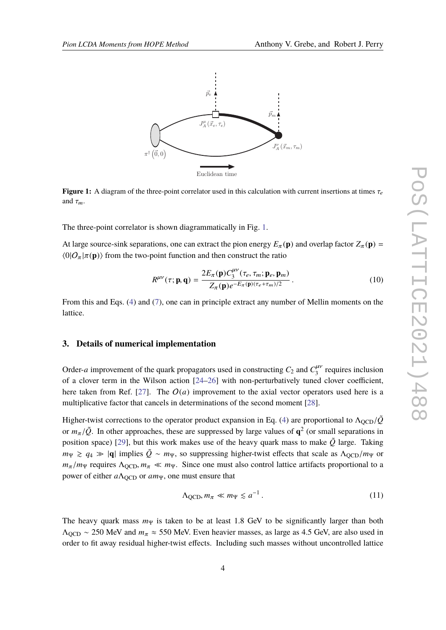<span id="page-3-1"></span>

**Figure 1:** A diagram of the three-point correlator used in this calculation with current insertions at times  $\tau_e$ and  $\tau_m$ .

The three-point correlator is shown diagrammatically in Fig. [1.](#page-3-1)

At large source-sink separations, one can extract the pion energy  $E_\pi(\mathbf{p})$  and overlap factor  $Z_\pi(\mathbf{p})$  =  $\langle 0|O_{\pi}|\pi(\mathbf{p})\rangle$  from the two-point function and then construct the ratio

$$
R^{\mu\nu}(\tau; \mathbf{p}, \mathbf{q}) = \frac{2E_{\pi}(\mathbf{p})C_3^{\mu\nu}(\tau_e, \tau_m; \mathbf{p}_e, \mathbf{p}_m)}{Z_{\pi}(\mathbf{p})e^{-E_{\pi}(\mathbf{p})(\tau_e + \tau_m)/2}}.
$$
(10)

From this and Eqs. [\(4\)](#page-2-0) and [\(7\)](#page-2-1), one can in principle extract any number of Mellin moments on the lattice.

#### <span id="page-3-0"></span>**3. Details of numerical implementation**

Order-*a* improvement of the quark propagators used in constructing  $C_2$  and  $C_3^{\mu\nu}$  requires inclusion of a clover term in the Wilson action [\[24](#page-15-5)[–26\]](#page-15-6) with non-perturbatively tuned clover coefficient, here taken from Ref. [\[27\]](#page-15-7). The  $O(a)$  improvement to the axial vector operators used here is a multiplicative factor that cancels in determinations of the second moment [\[28\]](#page-16-0).

Higher-twist corrections to the operator product expansion in Eq. [\(4\)](#page-2-0) are proportional to  $\Lambda_{\text{QCD}}/\tilde{Q}$ or  $m_\pi/\tilde{Q}$ . In other approaches, these are suppressed by large values of  $\mathbf{q}^2$  (or small separations in negation appear) [20], but this work makes use of the heavy such mass to make  $\tilde{Q}$  large. Taking position space) [\[29\]](#page-16-1), but this work makes use of the heavy quark mass to make  $\tilde{Q}$  large. Taking  $m_{\Psi} \geq q_4 \gg |{\bf q}|$  implies  $\tilde{Q} \sim m_{\Psi}$ , so suppressing higher-twist effects that scale as  $\Lambda_{\text{OCD}}/m_{\Psi}$  or  $m_\pi/m_\Psi$  requires  $\Lambda_{\text{QCD}}$ ,  $m_\pi \ll m_\Psi$ . Since one must also control lattice artifacts proportional to a power of either *a*Λ<sub>OCD</sub> or *am*<sub>Ψ</sub>, one must ensure that

$$
\Lambda_{\text{QCD}}, m_{\pi} \ll m_{\Psi} \lesssim a^{-1} \,. \tag{11}
$$

The heavy quark mass  $m_{\Psi}$  is taken to be at least 1.8 GeV to be significantly larger than both  $\Lambda_{\text{OCD}} \sim 250$  MeV and  $m_{\pi} \approx 550$  MeV. Even heavier masses, as large as 4.5 GeV, are also used in order to fit away residual higher-twist effects. Including such masses without uncontrolled lattice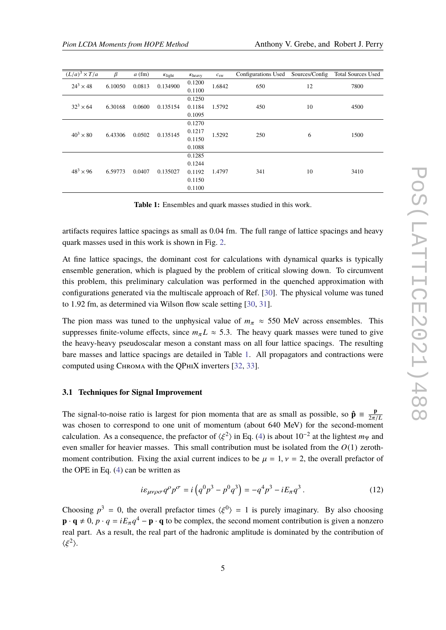<span id="page-4-0"></span>

| $(L/a)^3 \times T/a$ | $\beta$ | $a$ (fm) | $K$ light | $K$ <sub>heavy</sub>                           | $c_{\rm sw}$ | Configurations Used | Sources/Config | <b>Total Sources Used</b> |
|----------------------|---------|----------|-----------|------------------------------------------------|--------------|---------------------|----------------|---------------------------|
| $24^3 \times 48$     | 6.10050 | 0.0813   | 0.134900  | 0.1200<br>0.1100                               | 1.6842       | 650                 | 12             | 7800                      |
| $32^3 \times 64$     | 6.30168 | 0.0600   | 0.135154  | 0.1250<br>0.1184<br>0.1095                     | 1.5792       | 450                 | 10             | 4500                      |
| $40^3 \times 80$     | 6.43306 | 0.0502   | 0.135145  | 0.1270<br>0.1217<br>0.1150<br>0.1088           | 1.5292       | 250                 | 6              | 1500                      |
| $48^3 \times 96$     | 6.59773 | 0.0407   | 0.135027  | 0.1285<br>0.1244<br>0.1192<br>0.1150<br>0.1100 | 1.4797       | 341                 | 10             | 3410                      |

**Table 1:** Ensembles and quark masses studied in this work.

artifacts requires lattice spacings as small as 0.04 fm. The full range of lattice spacings and heavy quark masses used in this work is shown in Fig. [2.](#page-5-0)

At fine lattice spacings, the dominant cost for calculations with dynamical quarks is typically ensemble generation, which is plagued by the problem of critical slowing down. To circumvent this problem, this preliminary calculation was performed in the quenched approximation with configurations generated via the multiscale approach of Ref. [\[30\]](#page-16-2). The physical volume was tuned to 1.92 fm, as determined via Wilson flow scale setting [\[30,](#page-16-2) [31\]](#page-16-3).

The pion mass was tuned to the unphysical value of  $m_\pi \approx 550$  MeV across ensembles. This suppresses finite-volume effects, since  $m<sub>\pi</sub> L \approx 5.3$ . The heavy quark masses were tuned to give the heavy-heavy pseudoscalar meson a constant mass on all four lattice spacings. The resulting bare masses and lattice spacings are detailed in Table [1.](#page-4-0) All propagators and contractions were computed using Chroma with the QPhiX inverters [\[32,](#page-16-4) [33\]](#page-16-5).

#### **3.1 Techniques for Signal Improvement**

The signal-to-noise ratio is largest for pion momenta that are as small as possible, so  $\hat{\mathbf{p}} = \frac{\mathbf{p}}{2\pi}$ The signal-to-noise ratio is largest for pion momenta that are as small as possible, so  $\mathbf{p} = \frac{1}{2\pi/L}$  was chosen to correspond to one unit of momentum (about 640 MeV) for the second-moment calculation. As a consequence, the prefactor of  $\langle \xi^2 \rangle$  in Eq. [\(4\)](#page-2-0) is about  $10^{-2}$  at the lightest  $m_{\Psi}$  and<br>given emaller for hashing masses. This small contribution must be isolated from the  $O(1)$  gapsthest even smaller for heavier masses. This small contribution must be isolated from the *O*(1) zerothmoment contribution. Fixing the axial current indices to be  $\mu = 1$ ,  $\nu = 2$ , the overall prefactor of the OPE in Eq. [\(4\)](#page-2-0) can be written as

$$
i\varepsilon_{\mu\nu\rho\sigma} q^{\rho} p^{\sigma} = i \left( q^0 p^3 - p^0 q^3 \right) = -q^4 p^3 - iE_{\pi} q^3 \,. \tag{12}
$$

Choosing  $p^3 = 0$ , the overall prefactor times  $\langle \xi^0 \rangle = 1$  is purely imaginary. By also choosing  $\mathbf{p} \cdot \mathbf{q} \neq 0$ ,  $p \cdot q = iE_{\pi}q^{4} - \mathbf{p} \cdot \mathbf{q}$  to be complex, the second moment contribution is given a nonzero real part. As a result, the real part of the hadronic amplitude is dominated by the contribution of  $\langle \xi^2 \rangle$ .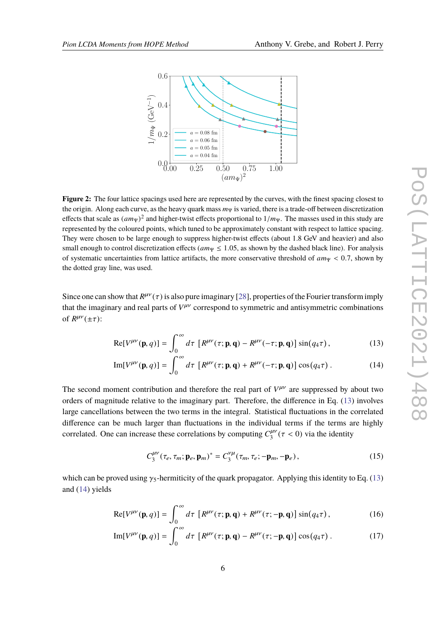<span id="page-5-0"></span>

**Figure 2:** The four lattice spacings used here are represented by the curves, with the finest spacing closest to the origin. Along each curve, as the heavy quark mass  $m<sub>Ψ</sub>$  is varied, there is a trade-off between discretization effects that scale as  $(am_{\Psi})^2$  and higher-twist effects proportional to  $1/m_{\Psi}$ . The masses used in this study are represented by the coloured points, which tuned to be approximately constant with respect to letting eng represented by the coloured points, which tuned to be approximately constant with respect to lattice spacing. They were chosen to be large enough to suppress higher-twist effects (about 1.8 GeV and heavier) and also small enough to control discretization effects ( $am_{\Psi} \le 1.05$ , as shown by the dashed black line). For analysis of systematic uncertainties from lattice artifacts, the more conservative threshold of  $am_\Psi < 0.7$ , shown by the dotted gray line, was used.

Since one can show that  $R^{\mu\nu}(\tau)$  is also pure imaginary [\[28\]](#page-16-0), properties of the Fourier transform imply that the imaginary and real perts of  $V^{\mu\nu}$  correspond to cummatrie and antisumpatrie combinations that the imaginary and real parts of  $V^{\mu\nu}$  correspond to symmetric and antisymmetric combinations of  $R^{\mu\nu}(\pm \tau)$ :

$$
\text{Re}[V^{\mu\nu}(\mathbf{p}, q)] = \int_0^\infty d\tau \, \left[ R^{\mu\nu}(\tau; \mathbf{p}, \mathbf{q}) - R^{\mu\nu}(-\tau; \mathbf{p}, \mathbf{q}) \right] \sin(q_4 \tau) \,, \tag{13}
$$

$$
\mathrm{Im}[V^{\mu\nu}(\mathbf{p},q)] = \int_0^\infty d\tau \, \left[ R^{\mu\nu}(\tau; \mathbf{p}, \mathbf{q}) + R^{\mu\nu}(-\tau; \mathbf{p}, \mathbf{q}) \right] \cos(q_4 \tau) \,. \tag{14}
$$

The second moment contribution and therefore the real part of  $V^{\mu\nu}$  are suppressed by about two orders of magnitude relative to the imaginary part. Therefore, the difference in Eq. [\(13\)](#page-5-1) involves large cancellations between the two terms in the integral. Statistical fluctuations in the correlated difference can be much larger than fluctuations in the individual terms if the terms are highly correlated. One can increase these correlations by computing  $C_3^{\mu\nu}$  ( $\tau$  < 0) via the identity

<span id="page-5-4"></span><span id="page-5-3"></span><span id="page-5-2"></span><span id="page-5-1"></span>
$$
C_3^{\mu\nu}(\tau_e, \tau_m; \mathbf{p}_e, \mathbf{p}_m)^* = C_3^{\nu\mu}(\tau_m, \tau_e; -\mathbf{p}_m, -\mathbf{p}_e), \qquad (15)
$$

which can be proved using  $\gamma_5$ -hermiticity of the quark propagator. Applying this identity to Eq. [\(13\)](#page-5-1) and [\(14\)](#page-5-2) yields

$$
\text{Re}[V^{\mu\nu}(\mathbf{p},q)] = \int_0^\infty d\tau \, \left[ R^{\mu\nu}(\tau; \mathbf{p}, \mathbf{q}) + R^{\mu\nu}(\tau; -\mathbf{p}, \mathbf{q}) \right] \sin(q_4 \tau) \,, \tag{16}
$$

$$
\mathrm{Im}[V^{\mu\nu}(\mathbf{p},q)] = \int_0^\infty d\tau \, \left[ R^{\mu\nu}(\tau; \mathbf{p}, \mathbf{q}) - R^{\mu\nu}(\tau; -\mathbf{p}, \mathbf{q}) \right] \cos(q_4 \tau) \,. \tag{17}
$$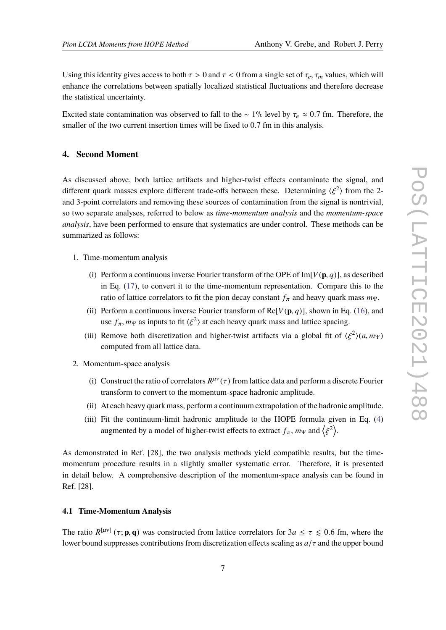Using this identity gives access to both  $\tau > 0$  and  $\tau < 0$  from a single set of  $\tau_e$ ,  $\tau_m$  values, which will enhance the correlations between spatially localized statistical fluctuations and therefore decrease the statistical uncertainty.

Excited state contamination was observed to fall to the ~ 1% level by  $\tau_e \approx 0.7$  fm. Therefore, the smaller of the two current insertion times will be fixed to 0.7 fm in this analysis.

## <span id="page-6-0"></span>**4. Second Moment**

As discussed above, both lattice artifacts and higher-twist effects contaminate the signal, and different quark masses explore different trade-offs between these. Determining  $\langle \xi^2 \rangle$  from the 2-<br>and 2 point examples and approximations these sources of contamination from the signal is portrivial. and 3-point correlators and removing these sources of contamination from the signal is nontrivial, so two separate analyses, referred to below as *time-momentum analysis* and the *momentum-space analysis*, have been performed to ensure that systematics are under control. These methods can be summarized as follows:

- 1. Time-momentum analysis
	- (i) Perform a continuous inverse Fourier transform of the OPE of  $Im[V(\mathbf{p}, q)]$ , as described in Eq. [\(17\)](#page-5-3), to convert it to the time-momentum representation. Compare this to the ratio of lattice correlators to fit the pion decay constant  $f_{\pi}$  and heavy quark mass  $m_{\Psi}$ .
	- (ii) Perform a continuous inverse Fourier transform of  $Re[V(p, q)]$ , shown in Eq. [\(16\)](#page-5-4), and use  $f_{\pi}$ ,  $m_{\Psi}$  as inputs to fit  $\langle \xi^2 \rangle$  at each heavy quark mass and lattice spacing.
	- (iii) Remove both discretization and higher-twist artifacts via a global fit of  $\langle \xi^2 \rangle (a, m_\Psi)$ <br>computed from all lattice data computed from all lattice data.
- 2. Momentum-space analysis
	- (i) Construct the ratio of correlators  $R^{\mu\nu}(\tau)$  from lattice data and perform a discrete Fourier<br>transform to convert to the momentum grass hadronic smallitude. transform to convert to the momentum-space hadronic amplitude.
	- (ii) At each heavy quark mass, perform a continuum extrapolation of the hadronic amplitude.
	- (iii) Fit the continuum-limit hadronic amplitude to the HOPE formula given in Eq. [\(4\)](#page-2-0) augmented by a model of higher-twist effects to extract  $f_{\pi}$ ,  $m_{\Psi}$  and  $\left\langle \xi \right\rangle$  $\left( \frac{2}{2} \right)$ .

As demonstrated in Ref. [28], the two analysis methods yield compatible results, but the timemomentum procedure results in a slightly smaller systematic error. Therefore, it is presented in detail below. A comprehensive description of the momentum-space analysis can be found in Ref. [28].

#### **4.1 Time-Momentum Analysis**

The ratio  $R^{[\mu\nu]}(\tau; \mathbf{p}, \mathbf{q})$  was constructed from lattice correlators for  $3a \leq \tau \leq 0.6$  fm, where the lower bound suppresses contributions from discretization effects scaling as  $a/\tau$  and the upper bound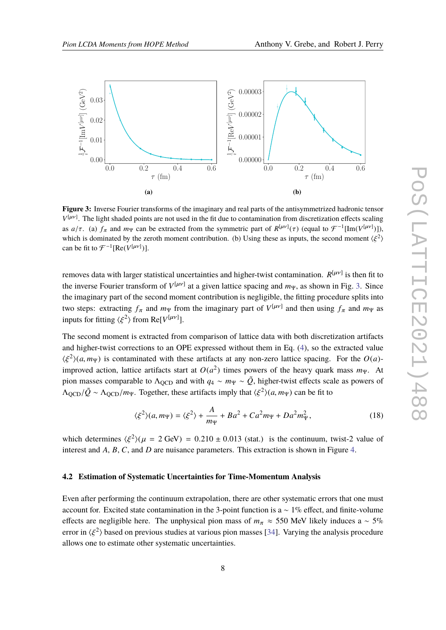<span id="page-7-0"></span>

**Figure 3:** Inverse Fourier transforms of the imaginary and real parts of the antisymmetrized hadronic tensor  $V^{[\mu\nu]}$ . The light shaded points are not used in the fit due to contamination from discretization effects scaling as  $a/\tau$ . (a)  $f_{\pi}$  and  $m_{\Psi}$  can be extracted from the symmetric part of  $R^{[\mu\nu]}(\tau)$  (equal to  $\mathcal{F}^{-1}[\text{Im}(V^{[\mu\nu]}])$ ), which is dominated by the zeroth moment contribution. (b) Using these as inputs, the second moment  $\langle \xi^2 \rangle$ can be fit to  $\mathcal{F}^{-1}[\text{Re}(V^{[\mu\nu]})]$ .

removes data with larger statistical uncertainties and higher-twist contamination.  $R^{[\mu\nu]}$  is then fit to the inverse Fourier transform of  $V^{[\mu\nu]}$  at a given lattice spacing and  $m_{\Psi}$ , as shown in Fig. [3.](#page-7-0) Since the imaginary part of the second moment contribution is negligible, the fitting procedure splits into two steps: extracting  $f_{\pi}$  and  $m_{\Psi}$  from the imaginary part of  $V^{[\mu\nu]}$  and then using  $f_{\pi}$  and  $m_{\Psi}$  as inputs for fitting  $\langle \xi^2 \rangle$  from Re[*V*<sup>[ $\mu\nu$ ]</sup>].

The second moment is extracted from comparison of lattice data with both discretization artifacts and higher-twist corrections to an OPE expressed without them in Eq. [\(4\)](#page-2-0), so the extracted value  $\langle \xi^2 \rangle$ (*a*, *m*<sub>Ψ</sub>) is contaminated with these artifacts at any non-zero lattice spacing. For the *O*(*a*)-<br>improved option, lattice ertifacts atom at *O*( $\alpha^2$ ) times never of the heavy such mass *m*. improved action, lattice artifacts start at  $O(a^2)$  times powers of the heavy quark mass  $m_{\Psi}$ . At pion masses comparable to  $\Lambda_{\text{OCD}}$  and with  $q_4 \sim m_\Psi \sim \tilde{Q}$ , higher-twist effects scale as powers of  $\Lambda_{\text{QCD}}/\tilde{Q} \sim \Lambda_{\text{QCD}}/m_{\Psi}$ . Together, these artifacts imply that  $\langle \xi^2 \rangle (a, m_{\Psi})$  can be fit to

<span id="page-7-1"></span>
$$
\langle \xi^2 \rangle (a, m_\Psi) = \langle \xi^2 \rangle + \frac{A}{m_\Psi} + Ba^2 + Ca^2 m_\Psi + Da^2 m_\Psi^2, \tag{18}
$$

which determines  $\langle \xi^2 \rangle (\mu = 2 \text{ GeV}) = 0.210 \pm 0.013$  (stat.) is the continuum, twist-2 value of interest and *A*, *B*, *C*, and *D* are nuisance parameters. This extraction is shown in Figure [4.](#page-8-0)

#### **4.2 Estimation of Systematic Uncertainties for Time-Momentum Analysis**

Even after performing the continuum extrapolation, there are other systematic errors that one must account for. Excited state contamination in the 3-point function is a  $\sim 1\%$  effect, and finite-volume effects are negligible here. The unphysical pion mass of  $m_\pi \approx 550$  MeV likely induces a ~ 5% error in  $\langle \xi^2 \rangle$  based on previous studies at various pion masses [\[34\]](#page-16-6). Varying the analysis procedure allows one to estimate other systematic uncertainties.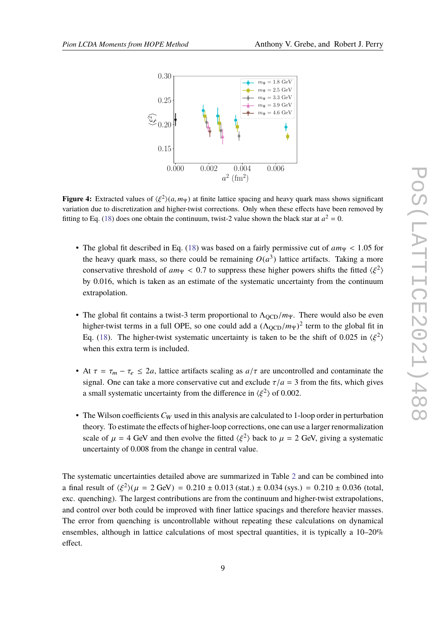<span id="page-8-0"></span>

**Figure 4:** Extracted values of  $\langle \xi^2 \rangle (a, m_\Psi)$  at finite lattice spacing and heavy quark mass shows significant variation due to discretization and higher twist corrections. Only when these effects have been removed by variation due to discretization and higher-twist corrections. Only when these effects have been removed by fitting to Eq. [\(18\)](#page-7-1) does one obtain the continuum, twist-2 value shown the black star at  $a^2 = 0$ .

- The global fit described in Eq. [\(18\)](#page-7-1) was based on a fairly permissive cut of  $am_\Psi < 1.05$  for the heavy quark mass, so there could be remaining  $O(a^3)$  lattice artifacts. Taking a more conservative threshold of  $am_\Psi < 0.7$  to suppress these higher powers shifts the fitted  $\langle \xi^2 \rangle$ <br>by 0.016, which is taken as an activate of the systematic uppertainty from the continuum by 0.016, which is taken as an estimate of the systematic uncertainty from the continuum extrapolation.
- The global fit contains a twist-3 term proportional to  $\Lambda_{\text{OCD}}/m_{\Psi}$ . There would also be even higher-twist terms in a full OPE, so one could add a  $(\Lambda_{\text{QCD}}/m_{\Psi})^2$  term to the global fit in<br>Eq. (19). The higher twist systematic uncertainty is taken to be the shift of 0.025 in ( $\ell^2$ ). Eq. [\(18\)](#page-7-1). The higher-twist systematic uncertainty is taken to be the shift of 0.025 in  $\langle \xi^2 \rangle$ when this extra term is included.
- At  $\tau = \tau_m \tau_e \leq 2a$ , lattice artifacts scaling as  $a/\tau$  are uncontrolled and contaminate the signal. One can take a more conservative cut and exclude  $\tau/a = 3$  from the fits, which gives a small systematic uncertainty from the difference in  $\langle \xi^2 \rangle$  of 0.002.
- The Wilson coefficients  $C_W$  used in this analysis are calculated to 1-loop order in perturbation theory. To estimate the effects of higher-loop corrections, one can use a larger renormalization scale of  $\mu = 4$  GeV and then evolve the fitted  $\langle \xi^2 \rangle$  back to  $\mu = 2$  GeV, giving a systematic uncertainty of 0.008 from the change in central value. uncertainty of 0.008 from the change in central value.

The systematic uncertainties detailed above are summarized in Table [2](#page-9-1) and can be combined into a final result of  $\langle \xi^2 \rangle (\mu = 2 \text{ GeV}) = 0.210 \pm 0.013 \text{ (stat.)} \pm 0.034 \text{ (sys.)} = 0.210 \pm 0.036 \text{ (total,}}$ exc. quenching). The largest contributions are from the continuum and higher-twist extrapolations, and control over both could be improved with finer lattice spacings and therefore heavier masses. The error from quenching is uncontrollable without repeating these calculations on dynamical ensembles, although in lattice calculations of most spectral quantities, it is typically a 10–20% effect.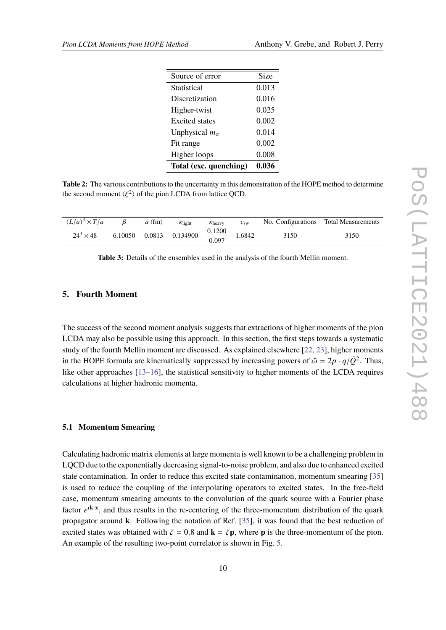<span id="page-9-1"></span>

| Source of error        | Size  |
|------------------------|-------|
| Statistical            | 0.013 |
| Discretization         | 0.016 |
| Higher-twist           | 0.025 |
| <b>Excited</b> states  | 0.002 |
| Unphysical $m_{\pi}$   | 0.014 |
| Fit range              | 0.002 |
| Higher loops           | 0.008 |
| Total (exc. quenching) | 0.036 |

**Table 2:** The various contributions to the uncertainty in this demonstration of the HOPE method to determine the second moment  $\langle \xi^2 \rangle$  of the pion LCDA from lattice QCD.

| 0.1200 | $(L/a)^3 \times T/a$ | $a$ (fm) | $k_{\text{light}}$ | $k_{\rm heavy}$ | $c_{\rm sw}$ |      | No. Configurations Total Measurements |
|--------|----------------------|----------|--------------------|-----------------|--------------|------|---------------------------------------|
|        | $24^3 \times 48$     | 6.10050  | 0.0813  0.134900   | 0.097           | 1.6842       | 3150 | 3150                                  |

**Table 3:** Details of the ensembles used in the analysis of the fourth Mellin moment.

## <span id="page-9-0"></span>**5. Fourth Moment**

The success of the second moment analysis suggests that extractions of higher moments of the pion LCDA may also be possible using this approach. In this section, the first steps towards a systematic study of the fourth Mellin moment are discussed. As explained elsewhere [\[22,](#page-15-3) [23\]](#page-15-4), higher moments in the HOPE formula are kinematically suppressed by increasing powers of  $\tilde{\omega} = 2p \cdot q/\tilde{Q}^2$ . Thus, like other approaches [\[13](#page-14-6)[–16\]](#page-15-0), the statistical sensitivity to higher moments of the LCDA requires calculations at higher hadronic momenta.

#### **5.1 Momentum Smearing**

Calculating hadronic matrix elements at large momenta is well known to be a challenging problem in LQCD due to the exponentially decreasing signal-to-noise problem, and also due to enhanced excited state contamination. In order to reduce this excited state contamination, momentum smearing [\[35\]](#page-16-7) is used to reduce the coupling of the interpolating operators to excited states. In the free-field case, momentum smearing amounts to the convolution of the quark source with a Fourier phase factor  $e^{i\mathbf{k}\cdot\mathbf{x}}$ , and thus results in the re-centering of the three-momentum distribution of the quark propagator around **k**. Following the notation of Ref. [\[35\]](#page-16-7), it was found that the best reduction of excited states was obtained with  $\zeta = 0.8$  and  $\mathbf{k} = \zeta \mathbf{p}$ , where **p** is the three-momentum of the pion. An example of the resulting two-point correlator is shown in Fig. [5.](#page-10-0)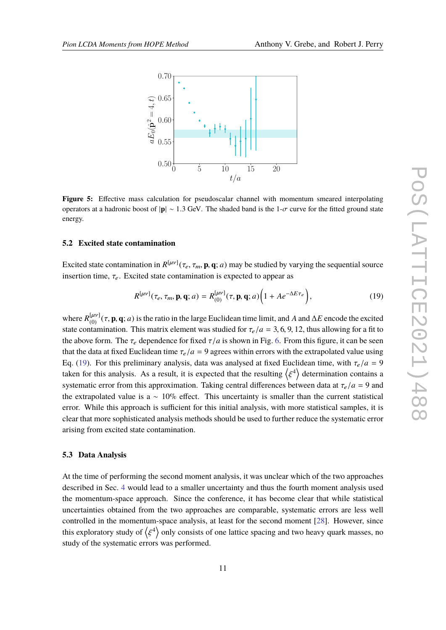<span id="page-10-0"></span>

**Figure 5:** Effective mass calculation for pseudoscalar channel with momentum smeared interpolating operators at a hadronic boost of <sup>|</sup>**p**| ∼ <sup>1</sup>.<sup>3</sup> GeV. The shaded band is the 1-σ curve for the fitted ground state energy.

#### **5.2 Excited state contamination**

Excited state contamination in  $R^{[\mu\nu]}(\tau_e, \tau_m, \mathbf{p}, \mathbf{q}; a)$  may be studied by varying the sequential source insertion time,  $\tau_e$ . Excited state contamination is expected to appear as

<span id="page-10-1"></span>
$$
R^{[\mu\nu]}(\tau_e, \tau_m, \mathbf{p}, \mathbf{q}; a) = R^{[\mu\nu]}_{(0)}(\tau, \mathbf{p}, \mathbf{q}; a) \bigg(1 + Ae^{-\Delta E \tau_e}\bigg), \tag{19}
$$

where  $R_{(0)}^{[\mu\nu]}(\tau, \mathbf{p}, \mathbf{q}; a)$  is the ratio in the large Euclidean time limit, and *A* and  $\Delta E$  encode the excited to extend the excited contomination. This matrix algument was studied for  $\tau$  /s  $\tau$  2.6.0.12 thu state contamination. This matrix element was studied for  $\tau_e/a = 3, 6, 9, 12$ , thus allowing for a fit to the above form. The  $\tau_e$  dependence for fixed  $\tau/a$  is shown in Fig. [6.](#page-11-0) From this figure, it can be seen that the data at fixed Euclidean time  $\tau_e/a = 9$  agrees within errors with the extrapolated value using Eq. [\(19\)](#page-10-1). For this preliminary analysis, data was analysed at fixed Euclidean time, with  $\tau_e/a = 9$ taken for this analysis. As a result, it is expected that the resulting  $\langle \xi^4 \rangle$  determination contains a systematic error from this approximation. Taking central differences between data at  $\tau_e/a = 9$  and<br>the automalated value is a set 10% offset. This uppertainty is amallel than the august etational the extrapolated value is a  $\sim 10\%$  effect. This uncertainty is smaller than the current statistical error. While this approach is sufficient for this initial analysis, with more statistical samples, it is clear that more sophisticated analysis methods should be used to further reduce the systematic error arising from excited state contamination.

#### **5.3 Data Analysis**

At the time of performing the second moment analysis, it was unclear which of the two approaches described in Sec. [4](#page-6-0) would lead to a smaller uncertainty and thus the fourth moment analysis used the momentum-space approach. Since the conference, it has become clear that while statistical uncertainties obtained from the two approaches are comparable, systematic errors are less well controlled in the momentum-space analysis, at least for the second moment [\[28\]](#page-16-0). However, since this exploratory study of  $\langle \xi^4 \rangle$  only consists of one lattice spacing and two heavy quark masses, no  $\frac{1}{2}$  is  $\frac{1}{2}$  in  $\frac{1}{2}$  in  $\frac{1}{2}$  in  $\frac{1}{2}$  in  $\frac{1}{2}$  in  $\frac{1}{2}$  in  $\frac{1}{2}$  in  $\frac{1}{2}$  in  $\frac{1}{2}$  in  $\frac{1}{2}$  in  $\frac{1}{2}$  in  $\frac{1}{2}$  in  $\frac{1}{2}$  in  $\frac{1}{2}$  in  $\frac{1}{2}$  in  $\frac{1}{2}$  in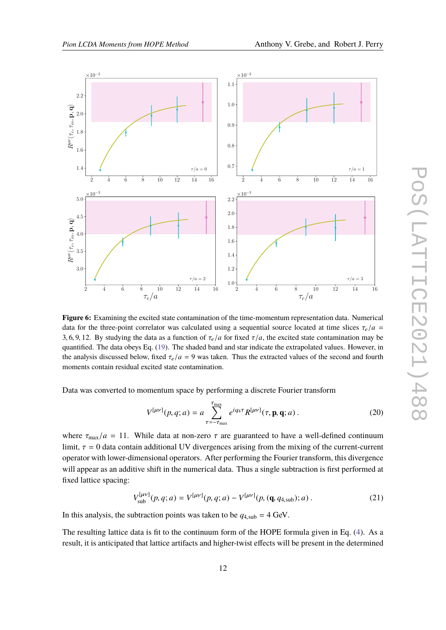<span id="page-11-0"></span>

**Figure 6:** Examining the excited state contamination of the time-momentum representation data. Numerical data for the three-point correlator was calculated using a sequential source located at time slices  $\tau_e/a$  = 3, 6, 9, 12. By studying the data as a function of  $\tau_e/a$  for fixed  $\tau/a$ , the excited state contamination may be quantified. The data obeys Eq. [\(19\)](#page-10-1). The shaded band and star indicate the extrapolated values. However, in the analysis discussed below, fixed  $\tau_e/a = 9$  was taken. Thus the extracted values of the second and fourth moments contain residual excited state contamination.

Data was converted to momentum space by performing a discrete Fourier transform

$$
V^{[\mu\nu]}(p,q;a) = a \sum_{\tau=-\tau_{\text{max}}}^{\tau_{\text{max}}} e^{iq_4 \tau} R^{[\mu\nu]}(\tau, \mathbf{p}, \mathbf{q}; a) \,. \tag{20}
$$

where  $\tau_{\text{max}}/a = 11$ . While data at non-zero  $\tau$  are guaranteed to have a well-defined continuum limit,  $\tau = 0$  data contain additional UV divergences arising from the mixing of the current-current operator with lower-dimensional operators. After performing the Fourier transform, this divergence will appear as an additive shift in the numerical data. Thus a single subtraction is first performed at fixed lattice spacing:

$$
V_{\text{sub}}^{[\mu\nu]}(p,q;a) = V^{[\mu\nu]}(p,q;a) - V^{[\mu\nu]}(p, (\mathbf{q}, q_{4,\text{sub}}); a) \,. \tag{21}
$$

In this analysis, the subtraction points was taken to be  $q_{4,\text{sub}} = 4$  GeV.

The resulting lattice data is fit to the continuum form of the HOPE formula given in Eq. [\(4\)](#page-2-0). As a result, it is anticipated that lattice artifacts and higher-twist effects will be present in the determined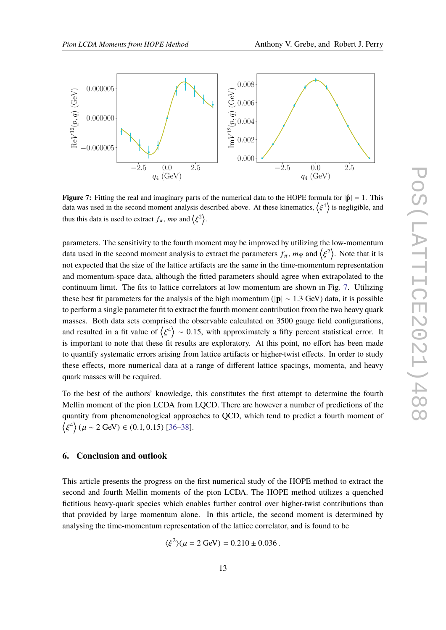<span id="page-12-1"></span>

**Figure 7:** Fitting the real and imaginary parts of the numerical data to the HOPE formula for  $|\hat{\mathbf{p}}| = 1$ . This data was used in the second moment analysis described above. At these kinematics,  $\ell$ ξ  $\binom{4}{1}$  is negligible, and thus this data is used to extract  $f_{\pi}$ ,  $m_{\Psi}$  and  $\left\langle \xi \right\rangle$  $2$ ).

parameters. The sensitivity to the fourth moment may be improved by utilizing the low-momentum data used in the second moment analysis to extract the parameters  $f_{\pi}$ ,  $m_{\Psi}$  and  $\langle \xi^2 \rangle$ . Note that it is not expected that the size of the lattice artifacts are the same in the time-momentum representation and momentum-space data, although the fitted parameters should agree when extrapolated to the continuum limit. The fits to lattice correlators at low momentum are shown in Fig. [7.](#page-12-1) Utilizing these best fit parameters for the analysis of the high momentum (|**p**| ∼ <sup>1</sup>.<sup>3</sup> GeV) data, it is possible to perform a single parameter fit to extract the fourth moment contribution from the two heavy quark masses. Both data sets comprised the observable calculated on 3500 gauge field configurations, and resulted in a fit value of  $\langle \xi^4 \rangle \sim 0.15$ , with approximately a fifty percent statistical error. It  $\frac{1}{2}$  is important to note that these fit results are exploratory. At this point, no effort has been made to quantify systematic errors arising from lattice artifacts or higher-twist effects. In order to study these effects, more numerical data at a range of different lattice spacings, momenta, and heavy quark masses will be required.

To the best of the authors' knowledge, this constitutes the first attempt to determine the fourth Mellin moment of the pion LCDA from LQCD. There are however a number of predictions of the quantity from phenomenological approaches to QCD, which tend to predict a fourth moment of D ξ  $^{4}$  ( $\mu$  ~ 2 GeV) ∈ (0.1, 0.15) [\[36–](#page-16-8)[38\]](#page-16-9).

## <span id="page-12-0"></span>**6. Conclusion and outlook**

This article presents the progress on the first numerical study of the HOPE method to extract the second and fourth Mellin moments of the pion LCDA. The HOPE method utilizes a quenched fictitious heavy-quark species which enables further control over higher-twist contributions than that provided by large momentum alone. In this article, the second moment is determined by analysing the time-momentum representation of the lattice correlator, and is found to be

$$
\langle \xi^2 \rangle (\mu = 2 \text{ GeV}) = 0.210 \pm 0.036 \,.
$$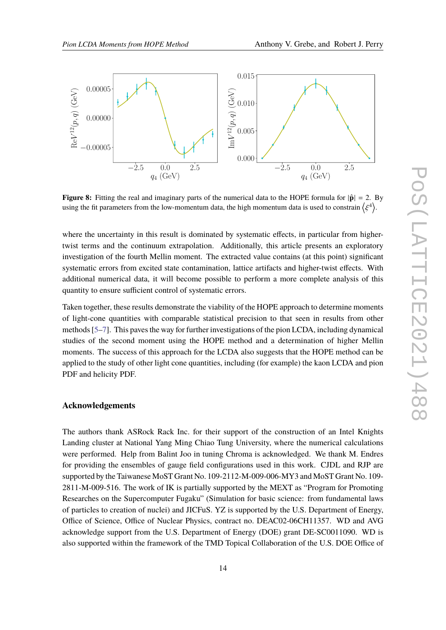

**Figure 8:** Fitting the real and imaginary parts of the numerical data to the HOPE formula for  $|\hat{\mathbf{p}}| = 2$ . By using the fit parameters from the low-momentum data, the high momentum data is used to constrain  $\langle$ ξ  $4$ ).

where the uncertainty in this result is dominated by systematic effects, in particular from highertwist terms and the continuum extrapolation. Additionally, this article presents an exploratory investigation of the fourth Mellin moment. The extracted value contains (at this point) significant systematic errors from excited state contamination, lattice artifacts and higher-twist effects. With additional numerical data, it will become possible to perform a more complete analysis of this quantity to ensure sufficient control of systematic errors.

Taken together, these results demonstrate the viability of the HOPE approach to determine moments of light-cone quantities with comparable statistical precision to that seen in results from other methods [\[5](#page-14-7)[–7\]](#page-14-3). This paves the way for further investigations of the pion LCDA, including dynamical studies of the second moment using the HOPE method and a determination of higher Mellin moments. The success of this approach for the LCDA also suggests that the HOPE method can be applied to the study of other light cone quantities, including (for example) the kaon LCDA and pion PDF and helicity PDF.

# **Acknowledgements**

The authors thank ASRock Rack Inc. for their support of the construction of an Intel Knights Landing cluster at National Yang Ming Chiao Tung University, where the numerical calculations were performed. Help from Balint Joo in tuning Chroma is acknowledged. We thank M. Endres for providing the ensembles of gauge field configurations used in this work. CJDL and RJP are supported by the Taiwanese MoST Grant No. 109-2112-M-009-006-MY3 and MoST Grant No. 109- 2811-M-009-516. The work of IK is partially supported by the MEXT as "Program for Promoting Researches on the Supercomputer Fugaku" (Simulation for basic science: from fundamental laws of particles to creation of nuclei) and JICFuS. YZ is supported by the U.S. Department of Energy, Office of Science, Office of Nuclear Physics, contract no. DEAC02-06CH11357. WD and AVG acknowledge support from the U.S. Department of Energy (DOE) grant DE-SC0011090. WD is also supported within the framework of the TMD Topical Collaboration of the U.S. DOE Office of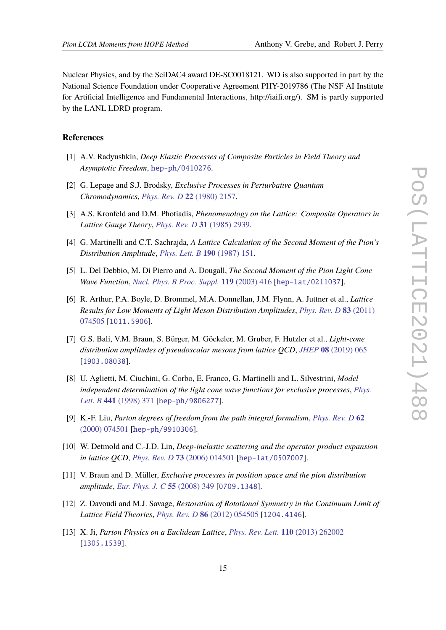Nuclear Physics, and by the SciDAC4 award DE-SC0018121. WD is also supported in part by the National Science Foundation under Cooperative Agreement PHY-2019786 (The NSF AI Institute for Artificial Intelligence and Fundamental Interactions, http://iaifi.org/). SM is partly supported by the LANL LDRD program.

# **References**

- <span id="page-14-0"></span>[1] A.V. Radyushkin, *Deep Elastic Processes of Composite Particles in Field Theory and Asymptotic Freedom*, [hep-ph/0410276](https://arxiv.org/abs/hep-ph/0410276).
- <span id="page-14-1"></span>[2] G. Lepage and S.J. Brodsky, *Exclusive Processes in Perturbative Quantum Chromodynamics*, *[Phys. Rev. D](https://doi.org/10.1103/PhysRevD.22.2157)* **22** (1980) 2157.
- <span id="page-14-2"></span>[3] A.S. Kronfeld and D.M. Photiadis, *Phenomenology on the Lattice: Composite Operators in Lattice Gauge Theory*, *[Phys. Rev. D](https://doi.org/10.1103/PhysRevD.31.2939)* **31** (1985) 2939.
- [4] G. Martinelli and C.T. Sachrajda, *A Lattice Calculation of the Second Moment of the Pion's Distribution Amplitude*, *[Phys. Lett. B](https://doi.org/10.1016/0370-2693(87)90858-6)* **190** (1987) 151.
- <span id="page-14-7"></span>[5] L. Del Debbio, M. Di Pierro and A. Dougall, *The Second Moment of the Pion Light Cone Wave Function*, *[Nucl. Phys. B Proc. Suppl.](https://doi.org/10.1016/S0920-5632(03)01572-X)* **119** (2003) 416 [[hep-lat/0211037](https://arxiv.org/abs/hep-lat/0211037)].
- [6] R. Arthur, P.A. Boyle, D. Brommel, M.A. Donnellan, J.M. Flynn, A. Juttner et al., *Lattice Results for Low Moments of Light Meson Distribution Amplitudes*, *[Phys. Rev. D](https://doi.org/10.1103/PhysRevD.83.074505)* **83** (2011) [074505](https://doi.org/10.1103/PhysRevD.83.074505) [[1011.5906](https://arxiv.org/abs/1011.5906)].
- <span id="page-14-3"></span>[7] G.S. Bali, V.M. Braun, S. Bürger, M. Göckeler, M. Gruber, F. Hutzler et al., *Light-cone distribution amplitudes of pseudoscalar mesons from lattice QCD*, *JHEP* **08** [\(2019\) 065](https://doi.org/10.1007/JHEP08(2019)065) [[1903.08038](https://arxiv.org/abs/1903.08038)].
- <span id="page-14-4"></span>[8] U. Aglietti, M. Ciuchini, G. Corbo, E. Franco, G. Martinelli and L. Silvestrini, *Model independent determination of the light cone wave functions for exclusive processes*, *[Phys.](https://doi.org/10.1016/S0370-2693(98)01138-1) Lett. B* **441** [\(1998\) 371](https://doi.org/10.1016/S0370-2693(98)01138-1) [[hep-ph/9806277](https://arxiv.org/abs/hep-ph/9806277)].
- [9] K.-F. Liu, *Parton degrees of freedom from the path integral formalism*, *[Phys. Rev. D](https://doi.org/10.1103/PhysRevD.62.074501)* **62** [\(2000\) 074501](https://doi.org/10.1103/PhysRevD.62.074501) [[hep-ph/9910306](https://arxiv.org/abs/hep-ph/9910306)].
- <span id="page-14-5"></span>[10] W. Detmold and C.-J.D. Lin, *Deep-inelastic scattering and the operator product expansion in lattice QCD*, *[Phys. Rev. D](https://doi.org/10.1103/PhysRevD.73.014501)* **73** (2006) 014501 [[hep-lat/0507007](https://arxiv.org/abs/hep-lat/0507007)].
- [11] V. Braun and D. Müller, *Exclusive processes in position space and the pion distribution amplitude*, *[Eur. Phys. J. C](https://doi.org/10.1140/epjc/s10052-008-0608-4)* **55** (2008) 349 [[0709.1348](https://arxiv.org/abs/0709.1348)].
- [12] Z. Davoudi and M.J. Savage, *Restoration of Rotational Symmetry in the Continuum Limit of Lattice Field Theories*, *[Phys. Rev. D](https://doi.org/10.1103/PhysRevD.86.054505)* **86** (2012) 054505 [[1204.4146](https://arxiv.org/abs/1204.4146)].
- <span id="page-14-6"></span>[13] X. Ji, *Parton Physics on a Euclidean Lattice*, *[Phys. Rev. Lett.](https://doi.org/10.1103/PhysRevLett.110.262002)* **110** (2013) 262002 [[1305.1539](https://arxiv.org/abs/1305.1539)].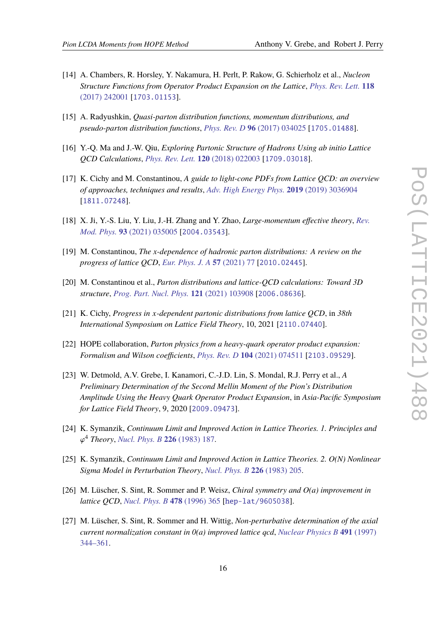- [14] A. Chambers, R. Horsley, Y. Nakamura, H. Perlt, P. Rakow, G. Schierholz et al., *Nucleon Structure Functions from Operator Product Expansion on the Lattice*, *[Phys. Rev. Lett.](https://doi.org/10.1103/PhysRevLett.118.242001)* **118** [\(2017\) 242001](https://doi.org/10.1103/PhysRevLett.118.242001) [[1703.01153](https://arxiv.org/abs/1703.01153)].
- [15] A. Radyushkin, *Quasi-parton distribution functions, momentum distributions, and pseudo-parton distribution functions*, *[Phys. Rev. D](https://doi.org/10.1103/PhysRevD.96.034025)* **96** (2017) 034025 [[1705.01488](https://arxiv.org/abs/1705.01488)].
- <span id="page-15-0"></span>[16] Y.-Q. Ma and J.-W. Qiu, *Exploring Partonic Structure of Hadrons Using ab initio Lattice QCD Calculations*, *[Phys. Rev. Lett.](https://doi.org/10.1103/PhysRevLett.120.022003)* **120** (2018) 022003 [[1709.03018](https://arxiv.org/abs/1709.03018)].
- <span id="page-15-1"></span>[17] K. Cichy and M. Constantinou, *A guide to light-cone PDFs from Lattice QCD: an overview of approaches, techniques and results*, *[Adv. High Energy Phys.](https://doi.org/10.1155/2019/3036904)* **2019** (2019) 3036904 [[1811.07248](https://arxiv.org/abs/1811.07248)].
- [18] X. Ji, Y.-S. Liu, Y. Liu, J.-H. Zhang and Y. Zhao, *Large-momentum effective theory*, *[Rev.](https://doi.org/10.1103/RevModPhys.93.035005) Mod. Phys.* **93** [\(2021\) 035005](https://doi.org/10.1103/RevModPhys.93.035005) [[2004.03543](https://arxiv.org/abs/2004.03543)].
- [19] M. Constantinou, *The x-dependence of hadronic parton distributions: A review on the progress of lattice QCD*, *[Eur. Phys. J. A](https://doi.org/10.1140/epja/s10050-021-00353-7)* **57** (2021) 77 [[2010.02445](https://arxiv.org/abs/2010.02445)].
- [20] M. Constantinou et al., *Parton distributions and lattice-QCD calculations: Toward 3D structure*, *[Prog. Part. Nucl. Phys.](https://doi.org/10.1016/j.ppnp.2021.103908)* **121** (2021) 103908 [[2006.08636](https://arxiv.org/abs/2006.08636)].
- <span id="page-15-2"></span>[21] K. Cichy, *Progress in x-dependent partonic distributions from lattice QCD*, in *38th International Symposium on Lattice Field Theory*, 10, 2021 [[2110.07440](https://arxiv.org/abs/2110.07440)].
- <span id="page-15-3"></span>[22] HOPE collaboration, *Parton physics from a heavy-quark operator product expansion: Formalism and Wilson coefficients*, *[Phys. Rev. D](https://doi.org/10.1103/PhysRevD.104.074511)* **104** (2021) 074511 [[2103.09529](https://arxiv.org/abs/2103.09529)].
- <span id="page-15-4"></span>[23] W. Detmold, A.V. Grebe, I. Kanamori, C.-J.D. Lin, S. Mondal, R.J. Perry et al., *A Preliminary Determination of the Second Mellin Moment of the Pion's Distribution Amplitude Using the Heavy Quark Operator Product Expansion*, in *Asia-Pacific Symposium for Lattice Field Theory*, 9, 2020 [[2009.09473](https://arxiv.org/abs/2009.09473)].
- <span id="page-15-5"></span>[24] K. Symanzik, *Continuum Limit and Improved Action in Lattice Theories. 1. Principles and*  $\overline{a}$ <sup>4</sup> *Theory*, *[Nucl. Phys. B](https://doi.org/10.1016/0550-3213(83)90468-6)* **226** (1983) 187.
- [25] K. Symanzik, *Continuum Limit and Improved Action in Lattice Theories. 2. O(N) Nonlinear Sigma Model in Perturbation Theory*, *[Nucl. Phys. B](https://doi.org/10.1016/0550-3213(83)90469-8)* **226** (1983) 205.
- <span id="page-15-6"></span>[26] M. Lüscher, S. Sint, R. Sommer and P. Weisz, *Chiral symmetry and O(a) improvement in lattice QCD*, *[Nucl. Phys. B](https://doi.org/10.1016/0550-3213(96)00378-1)* **478** (1996) 365 [[hep-lat/9605038](https://arxiv.org/abs/hep-lat/9605038)].
- <span id="page-15-7"></span>[27] M. Lüscher, S. Sint, R. Sommer and H. Wittig, *Non-perturbative determination of the axial current normalization constant in 0(a) improved lattice qcd*, *[Nuclear Physics B](https://doi.org/10.1016/s0550-3213(97)00087-4)* **491** (1997) [344–361.](https://doi.org/10.1016/s0550-3213(97)00087-4)